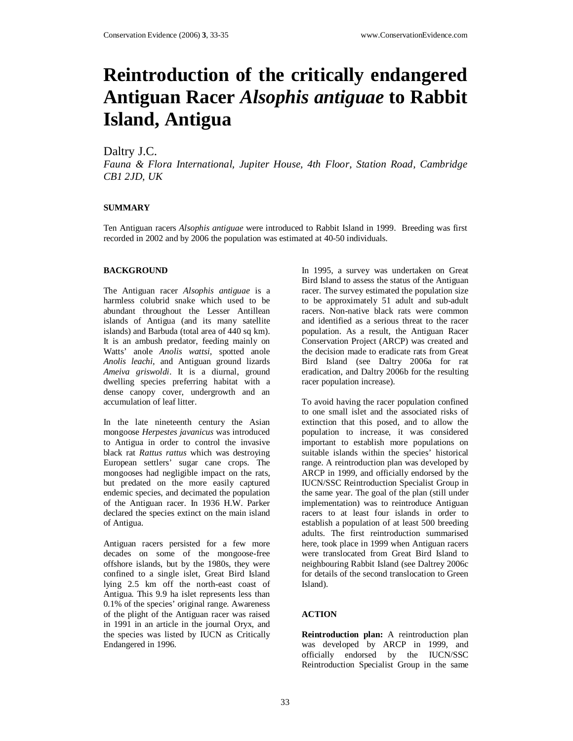# **Reintroduction of the critically endangered Antiguan Racer** *Alsophis antiguae* **to Rabbit Island, Antigua**

## Daltry J.C.

*Fauna & Flora International, Jupiter House, 4th Floor, Station Road, Cambridge CB1 2JD, UK*

#### **SUMMARY**

Ten Antiguan racers *Alsophis antiguae* were introduced to Rabbit Island in 1999. Breeding was first recorded in 2002 and by 2006 the population was estimated at 40-50 individuals.

#### **BACKGROUND**

The Antiguan racer *Alsophis antiguae* is a harmless colubrid snake which used to be abundant throughout the Lesser Antillean islands of Antigua (and its many satellite islands) and Barbuda (total area of 440 sq km). It is an ambush predator, feeding mainly on Watts' anole *Anolis wattsi*, spotted anole *Anolis leachi*, and Antiguan ground lizards *Ameiva griswoldi*. It is a diurnal, ground dwelling species preferring habitat with a dense canopy cover, undergrowth and an accumulation of leaf litter.

In the late nineteenth century the Asian mongoose *Herpestes javanicus* was introduced to Antigua in order to control the invasive black rat *Rattus rattus* which was destroying European settlers' sugar cane crops. The mongooses had negligible impact on the rats, but predated on the more easily captured endemic species, and decimated the population of the Antiguan racer. In 1936 H.W. Parker declared the species extinct on the main island of Antigua.

Antiguan racers persisted for a few more decades on some of the mongoose-free offshore islands, but by the 1980s, they were confined to a single islet, Great Bird Island lying 2.5 km off the north-east coast of Antigua. This 9.9 ha islet represents less than 0.1% of the species' original range. Awareness of the plight of the Antiguan racer was raised in 1991 in an article in the journal Oryx, and the species was listed by IUCN as Critically Endangered in 1996.

In 1995, a survey was undertaken on Great Bird Island to assess the status of the Antiguan racer. The survey estimated the population size to be approximately 51 adult and sub-adult racers. Non-native black rats were common and identified as a serious threat to the racer population. As a result, the Antiguan Racer Conservation Project (ARCP) was created and the decision made to eradicate rats from Great Bird Island (see Daltry 2006a for rat eradication, and Daltry 2006b for the resulting racer population increase).

To avoid having the racer population confined to one small islet and the associated risks of extinction that this posed, and to allow the population to increase, it was considered important to establish more populations on suitable islands within the species' historical range. A reintroduction plan was developed by ARCP in 1999, and officially endorsed by the IUCN/SSC Reintroduction Specialist Group in the same year. The goal of the plan (still under implementation) was to reintroduce Antiguan racers to at least four islands in order to establish a population of at least 500 breeding adults. The first reintroduction summarised here, took place in 1999 when Antiguan racers were translocated from Great Bird Island to neighbouring Rabbit Island (see Daltrey 2006c for details of the second translocation to Green Island).

### **ACTION**

**Reintroduction plan:** A reintroduction plan was developed by ARCP in 1999, and officially endorsed by the IUCN/SSC Reintroduction Specialist Group in the same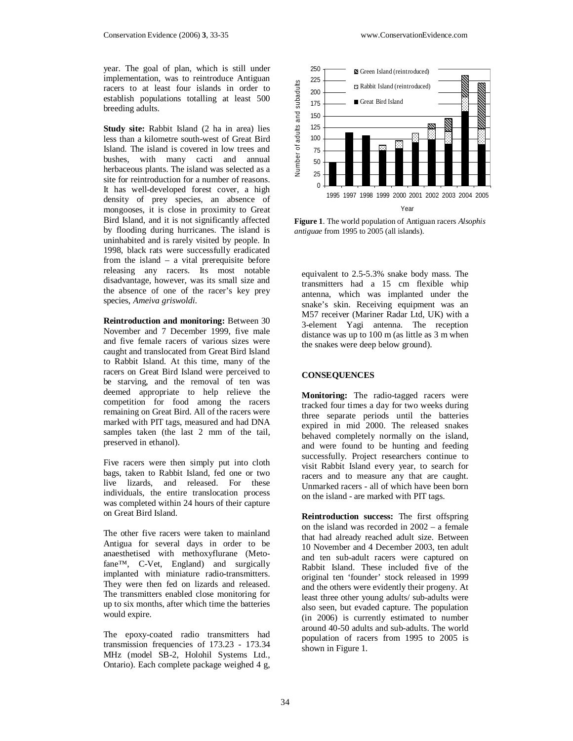year. The goal of plan, which is still under implementation, was to reintroduce Antiguan racers to at least four islands in order to establish populations totalling at least 500 breeding adults.

**Study site:** Rabbit Island (2 ha in area) lies less than a kilometre south-west of Great Bird Island. The island is covered in low trees and bushes, with many cacti and annual herbaceous plants. The island was selected as a site for reintroduction for a number of reasons. It has well-developed forest cover, a high density of prey species, an absence of mongooses, it is close in proximity to Great Bird Island, and it is not significantly affected by flooding during hurricanes. The island is uninhabited and is rarely visited by people. In 1998, black rats were successfully eradicated from the island – a vital prerequisite before releasing any racers. Its most notable disadvantage, however, was its small size and the absence of one of the racer's key prey species, *Ameiva griswoldi*.

**Reintroduction and monitoring:** Between 30 November and 7 December 1999, five male and five female racers of various sizes were caught and translocated from Great Bird Island to Rabbit Island. At this time, many of the racers on Great Bird Island were perceived to be starving, and the removal of ten was deemed appropriate to help relieve the competition for food among the racers remaining on Great Bird. All of the racers were marked with PIT tags, measured and had DNA samples taken (the last 2 mm of the tail, preserved in ethanol).

Five racers were then simply put into cloth bags, taken to Rabbit Island, fed one or two live lizards, and released. For these individuals, the entire translocation process was completed within 24 hours of their capture on Great Bird Island.

The other five racers were taken to mainland Antigua for several days in order to be anaesthetised with methoxyflurane (Metofane™, C-Vet, England) and surgically implanted with miniature radio-transmitters. They were then fed on lizards and released. The transmitters enabled close monitoring for up to six months, after which time the batteries would expire.

The epoxy-coated radio transmitters had transmission frequencies of 173.23 - 173.34 MHz (model SB-2, Holohil Systems Ltd., Ontario). Each complete package weighed 4 g,



**Figure 1**. The world population of Antiguan racers *Alsophis antiguae* from 1995 to 2005 (all islands).

equivalent to 2.5-5.3% snake body mass. The transmitters had a 15 cm flexible whip antenna, which was implanted under the snake's skin. Receiving equipment was an M57 receiver (Mariner Radar Ltd, UK) with a 3-element Yagi antenna. The reception distance was up to 100 m (as little as 3 m when the snakes were deep below ground).

#### **CONSEQUENCES**

**Monitoring:** The radio-tagged racers were tracked four times a day for two weeks during three separate periods until the batteries expired in mid 2000. The released snakes behaved completely normally on the island, and were found to be hunting and feeding successfully. Project researchers continue to visit Rabbit Island every year, to search for racers and to measure any that are caught. Unmarked racers - all of which have been born on the island - are marked with PIT tags.

**Reintroduction success:** The first offspring on the island was recorded in 2002 – a female that had already reached adult size. Between 10 November and 4 December 2003, ten adult and ten sub-adult racers were captured on Rabbit Island. These included five of the original ten 'founder' stock released in 1999 and the others were evidently their progeny. At least three other young adults/ sub-adults were also seen, but evaded capture. The population (in 2006) is currently estimated to number around 40-50 adults and sub-adults. The world population of racers from 1995 to 2005 is shown in Figure 1.